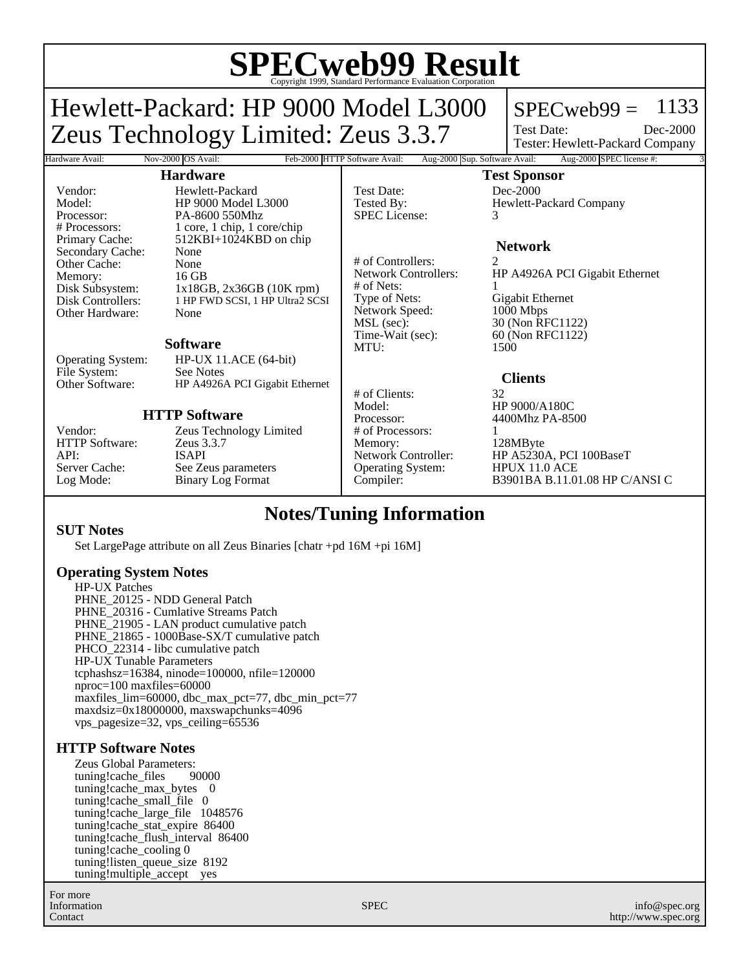# **SPECweb99 Result** Copyright 1999, Standard Performance Evaluation Corporation

Hardware Avail: Nov-2000 OS Avail: Feb-2000 HTTP Software Avail: Aug-2000 Sup. Software Avail: Aug-2000 SPEC license #:

## Hewlett-Packard: HP 9000 Model L3000 Zeus Technology Limited: Zeus 3.3.7

### $SPECweb99 = 1133$

Test Date: Tester: Hewlett-Packard Company Dec-2000

#### **Hardware**

Vendor: Hewlett-Packard<br>Model: HP 9000 Model I Model: HP 9000 Model L3000 Processor: PA-8600 550Mhz<br># Processors: 1 core, 1 chip, 1 core 1 core, 1 chip, 1 core/chip Primary Cache: 512KBI+1024KBD on chip Secondary Cache: None Other Cache: None<br>Memory: 16 GB Disk Subsystem:  $1x18GB, 2x36GB (10K rpm)$ <br>Disk Controllers: 1 HP FWD SCSI, 1 HP Ultra2 SC 1 HP FWD SCSI, 1 HP Ultra2 SCSI Other Hardware: None

#### **Software**

Operating System: HP-UX 11.ACE (64-bit) File System: See Notes<br>Other Software: HP A4926 HP A4926A PCI Gigabit Ethernet

#### **HTTP Software**

HTTP Software: API: ISAPI

Memory:<br>Disk Subsystem:

Vendor: Zeus Technology Limited<br>
HTTP Software: Zeus 3.3.7 Server Cache: See Zeus parameters<br>
Log Mode: Binary Log Format Binary Log Format

Test Date: Dec-2000 SPEC License: 3

# of Controllers: 2<br>Network Controllers: H # of Nets:<br>Type of Nets: Network Speed:<br>MSL (sec): MSL (sec): 30 (Non RFC1122)<br>Time-Wait (sec): 60 (Non RFC1122) MTU: 1500

# of Clients: 32 Model: HP 9000/A180C<br>Processor: 4400Mhz PA-85 # of Processors: 1 Memory: 128MByte<br>Network Controller: HP A5230/ Operating System:

**Test Sponsor** Tested By: Hewlett-Packard Company

#### **Network**

HP A4926A PCI Gigabit Ethernet Gigabit Ethernet<br>1000 Mbps 60 (Non RFC1122)

#### **Clients**

4400Mhz PA-8500

HP A5230A, PCI 100BaseT<br>HPUX 11.0 ACE Compiler: B3901BA B.11.01.08 HP C/ANSI C

### **Notes/Tuning Information**

#### **SUT Notes**

Set LargePage attribute on all Zeus Binaries [chatr +pd 16M +pi 16M]

#### **Operating System Notes**

HP-UX Patches PHNE\_20125 - NDD General Patch PHNE\_20316 - Cumlative Streams Patch PHNE 21905 - LAN product cumulative patch PHNE 21865 - 1000Base-SX/T cumulative patch PHCO\_22314 - libc cumulative patch HP-UX Tunable Parameters tcphashsz=16384, ninode=100000, nfile=120000 nproc=100 maxfiles=60000 maxfiles\_lim=60000, dbc\_max\_pct=77, dbc\_min\_pct=77 maxdsiz=0x18000000, maxswapchunks=4096 vps\_pagesize=32, vps\_ceiling=65536

#### **HTTP Software Notes**

Zeus Global Parameters:<br>tuning!cache files 90000 tuning!cache\_files tuning!cache\_max\_bytes 0 tuning!cache\_small\_file 0 tuning!cache\_large\_file 1048576 tuning!cache\_stat\_expire 86400 tuning!cache\_flush\_interval 86400 tuning!cache\_cooling 0 tuning!listen\_queue\_size 8192 tuning!multiple\_accept yes

For more Information Contact